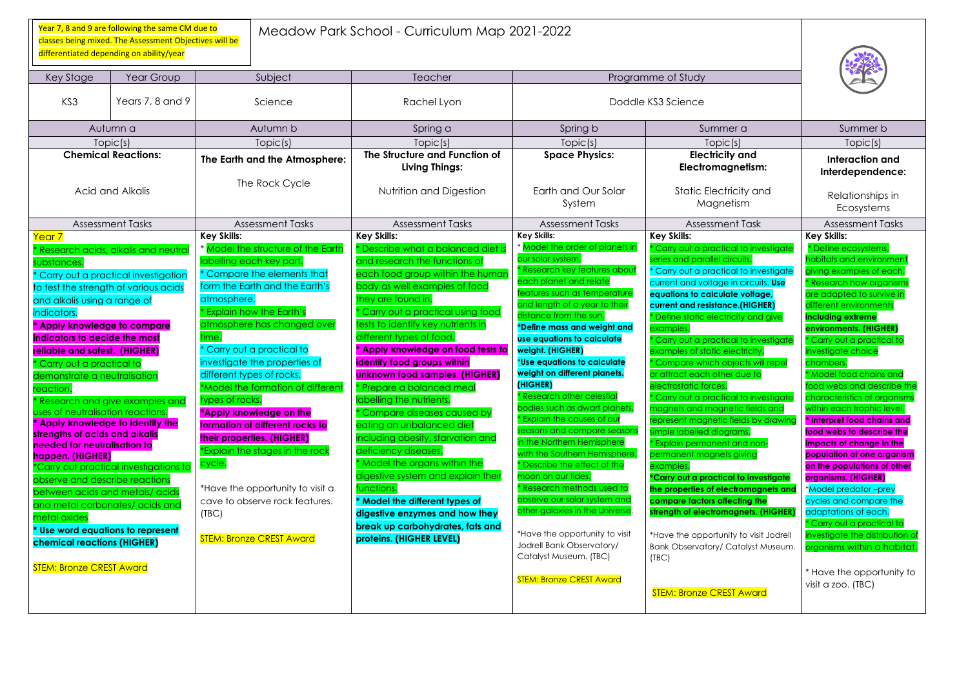Meadow Park School - Curriculum Map 2021-2022

Key Stage | Year Group | Subject | Teacher | Teacher | Teacher | Programme of Study KS3 Rears 7, 8 and 9 Rears 7, 8 and 9 Science Rachel Lyon Rachel Lyon Reachel Lyon Autumn a | Autumn b | Spring a | Spring b | Summer a | Summer b Topic(s) Topic(s) Topic(s) Topic(s) Topic(s) Topic(s) **Chemical Reactions:** Acid and Alkalis **The Earth and the Atmosphere:** The Rock Cycle **The Structure and Function of Living Things:** Nutrition and Digestion **Space Physics:** Earth and Our Solar System **Electricity Electromagnetism** Static Electric Magnet Assessment Tasks | Assessment Tasks | Assessment Tasks Assessment Task Assessment Tasks Year 7 \* Research acids, alkalis and neutral ubstances. \* Carry out a practical investigation to test the strength of various acids and alkalis using a range of indicators. **\* Apply knowledge to compare indicators to decide the most reliable and safest. (HIGHER)** \* Carry out a practical to demonstrate a neutralisation reaction. Research and give examples and ses of neutralisation reactions. **\* Apply knowledge to identify the strengths of acids and alkalis needed for neutralisation to happen. (HIGHER)** \*Carry out practical investigations to observe and describe reactions between acids and metals/ acids and metal carbonates/ acids and metal oxides **\* Use word equations to represent chemical reactions (HIGHER) STEM: Bronze CREST Award Key Skills: Model the structure of the Earth** labelling each key part. \* Compare the elements that form the Earth and the Earth's atmosphere. \* Explain how the Earth's atmosphere has changed over ime. \* Carry out a practical to investigate the properties of different types of rocks. \*Model the formation of different types of rocks. **\*Apply knowledge on the formation of different rocks to their properties. (HIGHER)** \*Explain the stages in the rock cycle. \*Have the opportunity to visit a cave to observe rock features. (TBC) **STEM: Bronze CREST Award Key Skills:** \* Describe what a balanced diet i and research the functions of each food group within the human body as well examples of food they are found in. \* Carry out a practical using food ests to identify key nutrients in different types of food. **\* Apply knowledge on food tests to identify food groups within unknown food samples. (HIGHER)** \* Prepare a balanced meal labelling the nutrients. \* Compare diseases caused by eating an unbalanced diet including obesity, starvation and deficiency diseases. \* Model the organs within the digestive system and explain their functions. **\* Model the different types of digestive enzymes and how they break up carbohydrates, fats and proteins. (HIGHER LEVEL) Key Skills:** Model the order of planets in our solar system. \* Research key features about each planet and relate eatures such as temperatur and length of a year to their distance from the sun. **\*Define mass and weight and use equations to calculate weight. (HIGHER)** \***Use equations to calculate weight on different planets. (HIGHER)** \* Research other celestial bodies such as dwarf planets. \* Explain the causes of our easons and compare seasons in the Northern Hemisphere with the Southern Hemisphere. \* Describe the effect of the moon on our tides. \* Research methods used to observe our solar system and other galaxies in the Universe. \*Have the opportunity to visit Jodrell Bank Observatory/ Catalyst Museum. (TBC) **STEM: Bronze CREST Award Key Skills:** \* Carry out a practic  $\overline{\text{s} }$ eries and parallel ci \* Carry out a practice current and voltage **equations to calculat current and resistanc** \* Define static electri examples. \* Carry out a practic examples of static e \* Compare which of or attract each othe electrostatic forces. to Carry out a practic magnets and maan represent magnetic simple labelled diag \* Explain permanent permanent magnets examples. **\*Carry out a practical to investigate the properties of elec compare factors affe** strength of electromd \*Have the opportunit Bank Observatory/ C (TBC) **STEM: Bronze CREST** 

Year 7, 8 and 9 are following the same CM due to classes being mixed. The Assessment Objectives will be differentiated depending on ability/year

| $er$ a                                                                                                                                                                                                                                                                      | Summer b                                                                                                                                                                                                                                                                                                                                                                                                                                                                                                                                                                                      |
|-----------------------------------------------------------------------------------------------------------------------------------------------------------------------------------------------------------------------------------------------------------------------------|-----------------------------------------------------------------------------------------------------------------------------------------------------------------------------------------------------------------------------------------------------------------------------------------------------------------------------------------------------------------------------------------------------------------------------------------------------------------------------------------------------------------------------------------------------------------------------------------------|
| (s)                                                                                                                                                                                                                                                                         | Topic(s)                                                                                                                                                                                                                                                                                                                                                                                                                                                                                                                                                                                      |
| / and<br>netism:                                                                                                                                                                                                                                                            | Interaction and<br>Interdependence:                                                                                                                                                                                                                                                                                                                                                                                                                                                                                                                                                           |
| city and<br>tism                                                                                                                                                                                                                                                            | Relationships in<br>Ecosystems                                                                                                                                                                                                                                                                                                                                                                                                                                                                                                                                                                |
| nt Task                                                                                                                                                                                                                                                                     | <b>Assessment Tasks</b>                                                                                                                                                                                                                                                                                                                                                                                                                                                                                                                                                                       |
| al to investigate<br>cuits.<br>al to investigate<br>in circuits. Use<br>e voltage,<br>e.(HIGHER)<br>city and give<br>al to investigate<br>ectricity.<br>jects will repel<br>due to<br>al to investigate<br>tic fields and<br>ields by drawing<br>ams.<br>and non-<br>giving | <b>Key Skills:</b><br>* Define ecosystems,<br>habitats and environment<br>giving examples of each.<br><b>* Research how organisms</b><br>are adapted to survive in<br>different environments<br>including extreme<br>environments. (HIGHER)<br>* Carry out a practical to<br>investigate choice<br>chambers.<br>* Model food chains and<br>tood webs and describe the<br>characteristics of organisms<br>within each trophic level.<br><b>Interpret food chains and</b><br>food webs to describe the<br>impacts of change in the<br>population of one organism<br>on the populations of other |
| Il to investigate<br>tromagnets and                                                                                                                                                                                                                                         | organisms. (HIGHER)<br>*Model predator-prey                                                                                                                                                                                                                                                                                                                                                                                                                                                                                                                                                   |
| cting the<br>gnets. (HIGHER)                                                                                                                                                                                                                                                | cycles and compare the<br>adaptations of each.<br>* Carry out a practical to                                                                                                                                                                                                                                                                                                                                                                                                                                                                                                                  |
| y to visit Jodrell<br>atalyst Museum.                                                                                                                                                                                                                                       | investigate the distribution of<br>organisms within a habitat.                                                                                                                                                                                                                                                                                                                                                                                                                                                                                                                                |
| <mark>T Award</mark>                                                                                                                                                                                                                                                        | * Have the opportunity to<br>visit a zoo. (TBC)                                                                                                                                                                                                                                                                                                                                                                                                                                                                                                                                               |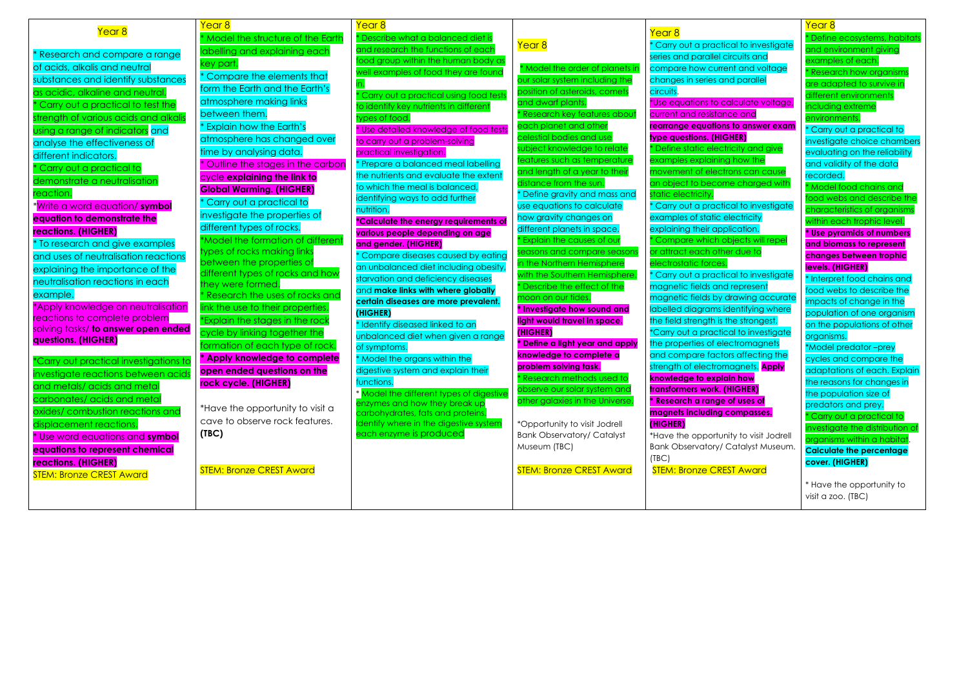| Year <sub>8</sub>                            | Year 8                                                   | <u>Year 8</u>                                            |                                                           |                                               |
|----------------------------------------------|----------------------------------------------------------|----------------------------------------------------------|-----------------------------------------------------------|-----------------------------------------------|
|                                              | * Model the structure of the Earth                       | * Describe what a balanced diet is                       |                                                           | Year 8                                        |
| * Research and compare a range               | labelling and explaining each                            | and research the functions of each                       | Year <sub>8</sub>                                         | Carry out a practic                           |
| of acids, alkalis and neutral                | key part.                                                | food group within the human body as                      | * Model the order of planets in                           | series and parallel cir<br>compare how currer |
| substances and identify substances           | * Compare the elements that                              | well examples of food they are found                     | our solar system including the                            | changes in series and                         |
| as acidic, alkaline and neutral.             | form the Earth and the Earth's                           |                                                          | position of asteroids, comets                             | circuits.                                     |
| Carry out a practical to test the            | atmosphere making links                                  | * Carry out a practical using food tests                 | and dwarf plants.                                         | *Use equations to ca                          |
| strength of various acids and alkalis        | between them.                                            | to identify key nutrients in different<br>types of food. | Research key features about                               | current and resistanc                         |
|                                              | * Explain how the Earth's                                | * Use detailed knowledge of food tests                   | each planet and other                                     | rearrange equations                           |
| using a range of indicators and              | atmosphere has changed over                              | to carry out a problem-solving                           | celestial bodies and use                                  | type questions. (HIGI                         |
| analyse the effectiveness of                 | time by analysing data.                                  | practical investigation.                                 | subject knowledge to relate                               | * Define static electri                       |
| different indicators.                        | Outline the stages in the carbon                         | * Prepare a balanced meal labelling                      | features such as temperature                              | examples explaining                           |
| Carry out a practical to                     | cycle explaining the link to                             | the nutrients and evaluate the extent                    | and length of a year to their                             | movement of electro                           |
| demonstrate a neutralisation                 | <b>Global Warming. (HIGHER)</b>                          | to which the meal is balanced,                           | distance from the sun.                                    | an object to become                           |
| reaction.                                    | * Carry out a practical to                               | identifying ways to add further                          | * Define gravity and mass and                             | static electricity.                           |
| * <mark>Write a word equation/ symbol</mark> |                                                          | nutrition.                                               | use equations to calculate                                | * Carry out a practic                         |
| equation to demonstrate the                  | investigate the properties of                            | <u>*Calculate the energy requirements of</u>             | how gravity changes on                                    | examples of static el                         |
| reactions. (HIGHER)                          | different types of rocks.                                | various people depending on age                          | different planets in space.                               | explaining their appli                        |
| <sup>*</sup> To research and give examples   | *Model the formation of different                        | and gender. (HIGHER)                                     | <b>Explain the causes of our</b>                          | Compare which ob                              |
| and uses of neutralisation reactions         | types of rocks making links<br>between the properties of | * Compare diseases caused by eating                      | seasons and compare seasons<br>in the Northern Hemisphere | or attract each othe                          |
| explaining the importance of the             | different types of rocks and how                         | an unbalanced diet including obesity,                    | with the Southern Hemisphere.                             | electrostatic forces.<br>'Carry out a practic |
| neutralisation reactions in each             | they were formed.                                        | starvation and deficiency diseases                       | Describe the effect of the                                | magnetic fields and                           |
| example.                                     | * Research the uses of rocks and                         | and make links with where globally                       | moon on our tides.                                        | magnetic fields by di                         |
| *Apply knowledge on neutralisation           | link the use to their properties.                        | certain diseases are more prevalent.                     | * Investigate how sound and                               | labelled diagrams id                          |
| reactions to complete problem                | *Explain the stages in the rock                          | (HIGHER)                                                 | light would travel in space.                              | the field strength is th                      |
| solving tasks/ to answer open ended          | cycle by linking together the                            | * Identify diseased linked to an                         | (HIGHER)                                                  | *Carry out a practice                         |
| questions. (HIGHER)                          | formation of each type of rock.                          | unbalanced diet when given a range<br>of symptoms.       | * Define a light year and apply                           | the properties of eled                        |
|                                              | <b>Apply knowledge to complete</b>                       | * Model the organs within the                            | knowledge to complete a                                   | and compare factor                            |
| *Carry out practical investigations to       | open ended questions on the                              | digestive system and explain their                       | problem solving task.                                     | strength of electrom                          |
| investigate reactions between acids          | rock cycle. (HIGHER)                                     | functions.                                               | <mark>, kesearch methods used to</mark>                   | knowledge to explai                           |
| and metals/ acids and metal                  |                                                          | * Model the different types of digestive                 | observe our solar system and                              | transformers work. (H                         |
| carbonates/ acids and metal                  | *Have the opportunity to visit a                         | enzymes and how they break up                            | other galaxies in the Universe.                           | * Research a range a                          |
| oxides/ combustion reactions and             | cave to observe rock features.                           | carbohydrates, fats and proteins.                        |                                                           | magnets including c                           |
| displacement reactions.                      |                                                          | Identify where in the digestive system                   | <i>*Opportunity to visit Jodrell</i>                      | (HIGHER)                                      |
| * Use word equations and symbol              | (TEC)                                                    | each enzyme is produced                                  | <b>Bank Observatory/ Catalyst</b>                         | *Have the opportuni <sup>-</sup>              |
| equations to represent chemical              |                                                          |                                                          | Museum (TBC)                                              | <b>Bank Observatory/C</b>                     |
| <b>reactions. (HIGHER)</b>                   | <b>STEM: Bronze CREST Award</b>                          |                                                          | <b>STEM: Bronze CREST Award</b>                           | (TEC)                                         |
| <b>STEM: Bronze CREST Award</b>              |                                                          |                                                          |                                                           | <b>STEM: Bronze CRES</b>                      |
|                                              |                                                          |                                                          |                                                           |                                               |
|                                              |                                                          |                                                          |                                                           |                                               |

al to investigate cuits and at and voltage d parallel

ilculate voltage, ce and *<u>to answer exam</u>* **type questions. (HIGHER)** city and give how the ns can caus<mark>e</mark> an object with

al to investigate ectricity cation. jects will repel due to

al to investigate represent awing accurate entifying where e strongest. al to investigate tromagnets s affecting the agnets. Apply **knowledge IIGHER) \* Research a range of uses of ompasses.** 

ty to visit Jodrell Catalyst Museum.

<mark>ST Award</mark>

Year 8 \* Define ecosystems, habitats and environment giving examples of each. \* Research how organism are adapted to survive in different environments including extreme environments. \* Carry out a practical to investigate choice chambers evaluating on the reliability and validity of the data recorded. \* Model food chains and food webs and describe the characteristics of organisms within each trophic level. **\* Use pyramids of numbers and biomass to represent changes between trophic levels. (HIGHER)** \* Interpret food chains and food webs to describe the impacts of change in the population of one organism on the populations of other organisms. \*Model predator –prey cycles and compare the adaptations of each. Explain the reasons for changes in the population size of predators and prey. \* Carry out a practical to investigate the distribution o organisms within a habitat. **Calculate the percentage cover. (HIGHER)**

\* Have the opportunity to visit a zoo. (TBC)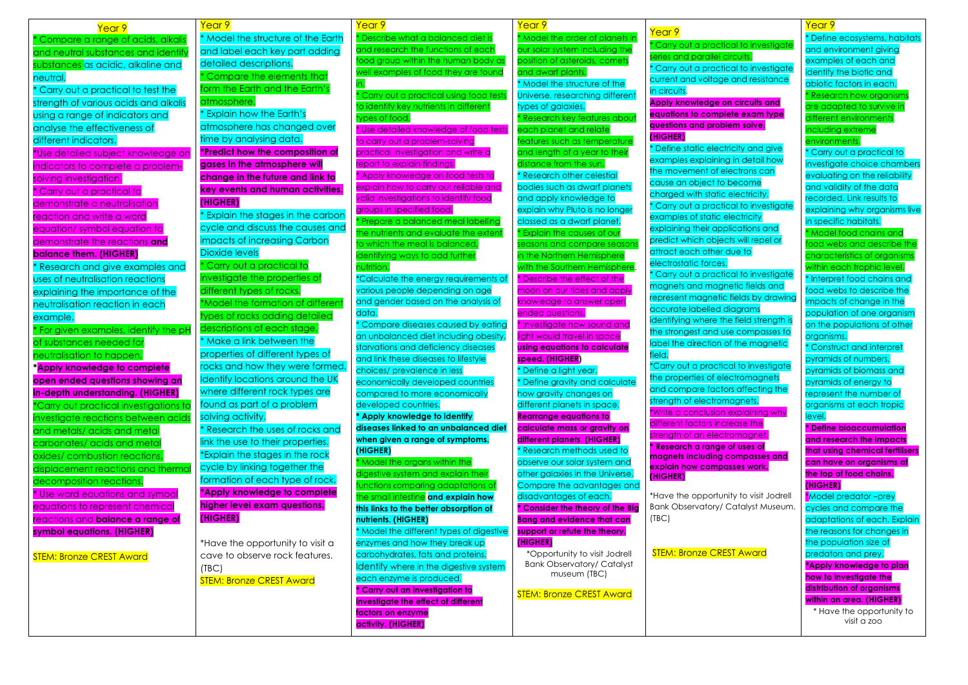| Year 9                                  | Year 9                                  | Year 9                                                                       | Year 9                                                        |                                           |
|-----------------------------------------|-----------------------------------------|------------------------------------------------------------------------------|---------------------------------------------------------------|-------------------------------------------|
| Compare a range of acids, alkalis       | * Model the structure of the Earth      | * Describe what a balanced diet is                                           | * Model the order of planets ir                               | Year 9                                    |
| and neutral substances and identify     | and label each key part adding          | and research the functions of each                                           | our solar system including the                                | * Carry out a practio                     |
| substances as acidic, alkaline and      | detailed descriptions.                  | food group within the human body as                                          | position of asteroids, comets                                 | series and parallel c                     |
| neutral.                                | Compare the elements that               | well examples of food they are found                                         | and dwarf plants.                                             | * Carry out a practio                     |
| Carry out a practical to test the       | form the Earth and the Earth's          |                                                                              | * Model the structure of the                                  | current and voltage                       |
|                                         | atmosphere.                             | Carry out a practical using food tests                                       | Universe, researching different                               | in circuits.                              |
| strength of various acids and alkalis   | <b>Explain how the Earth's</b>          | to identify key nutrients in different                                       | types of galaxies.                                            | <b>Apply knowledge o</b>                  |
| using a range of indicators and         |                                         | types of food.                                                               | <b>Research key features about</b>                            | equations to compl<br>questions and probl |
| analyse the effectiveness of            | atmosphere has changed over             | * Use detailed knowledge of food tests                                       | each planet and relate                                        | (HIGHER)                                  |
| different indicators.                   | time by analysing data.                 | to carry out a problem-solving                                               | features such as temperature                                  | * Define static elect                     |
| *Use detailed subject knowledge on      | *Predict how the composition of         | practical investigation and write a                                          | and length of a year to their                                 | examples explaining                       |
| indicators to complete a problem-       | gases in the atmosphere will            | report to explain findings.                                                  | distance from the sun.                                        | the movement of el                        |
| solving investigation.                  | change in the future and link to        | * Apply knowledge on food tests to                                           | <b>* Research other celestial</b>                             | cause an object to                        |
| * Carry out a practical to              | key events and human activities.        | explain how to carry out reliable and                                        | bodies such as dwarf planets                                  | charged with static                       |
| demonstrate a neutralisation            | (HIGHER)                                | valid investigations to identify food                                        | and apply knowledge to                                        | * Carry out a practio                     |
| reaction and write a word               | <b>Explain the stages in the carbon</b> | groups in specified food.                                                    | explain why Pluto is no longer                                | examples of static e                      |
| equation/ symbol equation to            | cycle and discuss the causes and        | * Prepare a balanced meal labelling<br>the nutrients and evaluate the extent | classed as a dwarf planet.<br>* Explain the causes of our     | explaining their app                      |
| demonstrate the reactions and           | impacts of increasing Carbon            | to which the meal is balanced,                                               | seasons and compare seasons                                   | predict which objed                       |
| <b>balance them. (HIGHER)</b>           | <b>Dioxide levels</b>                   | identifying ways to add further                                              | in the Northern Hemisphere                                    | attract each other                        |
| Research and give examples and          | Carry out a practical to                | nutrition.                                                                   | with the Southern Hemisphere.                                 | electrostatic forces.                     |
| uses of neutralisation reactions        | investigate the properties of           | *Calculate the energy requirements of                                        | <b>Describe the effect of the</b>                             | * Carry out a practio                     |
| explaining the importance of the        | different types of rocks.               | various people depending on age                                              | moon on our tides and apply                                   | magnets and magr                          |
| neutralisation reaction in each         | *Model the formation of different       | and gender based on the analysis of                                          | knowledge to answer open                                      | represent magnetic                        |
|                                         | types of rocks adding detailed          | data.                                                                        | ended questions.                                              | accurate labelled a                       |
| example.                                | descriptions of each stage.             | Compare diseases caused by eating                                            | * Investigate how sound and                                   | identifying where th                      |
| * For given examples, identify the pH   |                                         | an unbalanced diet including obesity,                                        | light would travel in space                                   | the strongest and us                      |
| of substances needed for                | Make a link between the                 | starvations and deficiency diseases                                          | using equations to calculate                                  | label the direction o                     |
| neutralisation to happen.               | properties of different types of        | and link these diseases to lifestyle                                         | speed. (HIGHER)                                               | field.                                    |
| *Apply knowledge to complete            | rocks and how they were formed.         | choices/ prevalence in less                                                  | * Define a light year.                                        | <i>*Carry out a practic</i>               |
| open ended questions showing an         | Identify locations around the UK        | economically developed countries                                             | <b>Define gravity and calculate</b>                           | the properties of ele                     |
| in-depth understanding. (HIGHER)        | where different rock types are          | compared to more economically                                                | how gravity changes on                                        | and compare facto<br>strength of electron |
| *Carry out practical investigations to  | found as part of a problem              | developed countries.                                                         | different planets in space.                                   | *Write a conclusion                       |
| investigate reactions between acids     | solving activity.                       | * Apply knowledge to identify                                                | <b>Rearrange equations to</b>                                 | different factors incl                    |
| and metals/acids and metal              | Research the uses of rocks and          | diseases linked to an unbalanced diet                                        | calculate mass or gravity on                                  | strength of an elect                      |
| carbonates/ acids and metal             | link the use to their properties.       | when given a range of symptoms.                                              | different planets. (HIGHER)                                   | * Research a range                        |
| oxides/ combustion reactions,           | *Explain the stages in the rock         | (HIGHER)                                                                     | * Research methods used to                                    | magnets including                         |
| displacement reactions and thermal      | cycle by linking together the           | * Model the organs within the                                                | observe our solar system and                                  | explain how compo                         |
| decomposition reactions.                | formation of each type of rock.         | digestive system and explain their<br>functions comparing adaptations of     | other galaxies in the Universe.<br>Compare the advantages and | (HIGHER)                                  |
| * Use word equations and symbol         | *Apply knowledge to complete            | the small intestine and explain how                                          | disadvantages of each.                                        | *Have the opportur                        |
| equations to represent chemical         | higher level exam questions.            | this links to the better absorption of                                       | * Consider the theory of the Big                              | <b>Bank Observatory/</b>                  |
| reactions and <b>balance a range of</b> | (HIGHER)                                | nutrients. (HIGHER)                                                          | <b>Bang and evidence that can</b>                             | (TEC)                                     |
| symbol equations. (HIGHER)              |                                         | * Model the different types of digestive                                     | support or refute the theory.                                 |                                           |
|                                         | *Have the opportunity to visit a        | enzymes and how they break up                                                | (HIGHER)                                                      |                                           |
| <b>STEM: Bronze CREST Award</b>         | cave to observe rock features.          | carbohydrates, fats and proteins.                                            | <i>*Opportunity to visit Jodrell</i>                          | <b>STEM: Bronze CRE</b>                   |
|                                         | (TEC)                                   | Identify where in the digestive system                                       | <b>Bank Observatory/ Catalyst</b>                             |                                           |
|                                         | <b>STEM: Bronze CREST Award</b>         | each enzyme is produced.                                                     | museum (TBC)                                                  |                                           |
|                                         |                                         | * Carry out an investigation to                                              |                                                               |                                           |
|                                         |                                         | investigate the effect of different                                          | <b>STEM: Bronze CREST Award</b>                               |                                           |
|                                         |                                         | factors on enzyme                                                            |                                                               |                                           |
|                                         |                                         | activity. (HIGHER)                                                           |                                                               |                                           |

tical to investigate circuits. tical to investigate ae and resistance

**Apply on circuits and plete exam type blem solve.** 

ctricity and give ng in detail how electrons can o become ic electricity. tical to investigate electricity pplications and ects will repel or r due to

tical to investigate anetic fields and ic fields by drawing diagrams the field strength is use compasses to of the magnetic

tical to investigate **lectromagnets** tors affecting the magnets. on explaining why crease the ctromagnet. **e** of uses of **g** compasses and **passes work.** 

unity to visit Jodrell / Catalyst Museum.

REST Award

Year 9 \* Define ecosystems, habitats and environment giving examples of each and identify the biotic and abiotic factors in each.  $*$  Research how organism: are adapted to survive in different environment: including extreme environments. \* Carry out a practical to investigate choice chambers evaluating on the reliability and validity of the data recorded. Link results to explaining why organisms live in specific habitats. \* Model food chains and food webs and describe the characteristics of organism within each trophic level. \* Interpret food chains and food webs to describe the impacts of change in the population of one organism on the populations of other organisms. \* Construct and interpret pyramids of numbers, pyramids of biomass and pyramids of energy to represent the number of organisms at each tropic level. **\* Define bioaccumulation and research the impacts that using chemical fertilisers can have on organisms at the top of food chains. (HIGHER)** \*Model predator –prey cycles and compare the adaptations of each. Explain the reasons for changes in the population size of predators and prey. **\*Apply knowledge to plan how to investigate the distribution of organisms within an area. (HIGHER)** \* Have the opportunity to visit a zoo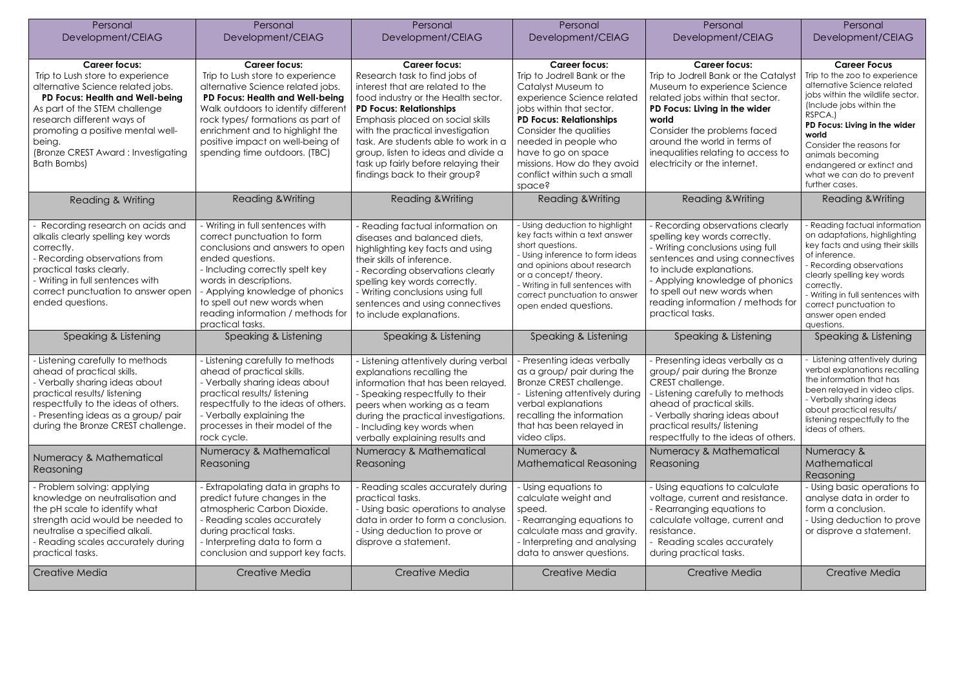| Personal<br>Development/CEIAG                                                                                                                                                                                                                                                                              | Personal<br>Development/CEIAG                                                                                                                                                                                                                                                                                        | Personal<br>Development/CEIAG                                                                                                                                                                                                                                                                                                                                                                      | Personal<br>Development/CEIAG                                                                                                                                                                                                                                                                                           | Personal<br>Development/CEIAG                                                                                                                                                                                                                                                                                   | Personal<br>Development/CEIAG                                                                                                                                                                                                                                                                                                        |
|------------------------------------------------------------------------------------------------------------------------------------------------------------------------------------------------------------------------------------------------------------------------------------------------------------|----------------------------------------------------------------------------------------------------------------------------------------------------------------------------------------------------------------------------------------------------------------------------------------------------------------------|----------------------------------------------------------------------------------------------------------------------------------------------------------------------------------------------------------------------------------------------------------------------------------------------------------------------------------------------------------------------------------------------------|-------------------------------------------------------------------------------------------------------------------------------------------------------------------------------------------------------------------------------------------------------------------------------------------------------------------------|-----------------------------------------------------------------------------------------------------------------------------------------------------------------------------------------------------------------------------------------------------------------------------------------------------------------|--------------------------------------------------------------------------------------------------------------------------------------------------------------------------------------------------------------------------------------------------------------------------------------------------------------------------------------|
| <b>Career focus:</b><br>Trip to Lush store to experience<br>alternative Science related jobs.<br>PD Focus: Health and Well-being<br>As part of the STEM challenge<br>research different ways of<br>promoting a positive mental well-<br>being.<br>(Bronze CREST Award: Investigating<br><b>Bath Bombs)</b> | <b>Career focus:</b><br>Trip to Lush store to experience<br>alternative Science related jobs.<br>PD Focus: Health and Well-being<br>Walk outdoors to identify different<br>rock types/ formations as part of<br>enrichment and to highlight the<br>positive impact on well-being of<br>spending time outdoors. (TBC) | <b>Career focus:</b><br>Research task to find jobs of<br>interest that are related to the<br>food industry or the Health sector.<br><b>PD Focus: Relationships</b><br>Emphasis placed on social skills<br>with the practical investigation<br>task. Are students able to work in a<br>group, listen to ideas and divide a<br>task up fairly before relaying their<br>findings back to their group? | <b>Career focus:</b><br>Trip to Jodrell Bank or the<br>Catalyst Museum to<br>experience Science related<br>jobs within that sector.<br><b>PD Focus: Relationships</b><br>Consider the qualities<br>needed in people who<br>have to go on space<br>missions. How do they avoid<br>conflict within such a small<br>space? | <b>Career focus:</b><br>Trip to Jodrell Bank or the Catalyst<br>Museum to experience Science<br>related jobs within that sector.<br>PD Focus: Living in the wider<br>world<br>Consider the problems faced<br>around the world in terms of<br>inequalities relating to access to<br>electricity or the internet. | <b>Career Focus</b><br>Trip to the zoo to experience<br>alternative Science related<br>jobs within the wildlife sector.<br>(Include jobs within the<br>RSPCA.)<br>PD Focus: Living in the wider<br>world<br>Consider the reasons for<br>animals becoming<br>endangered or extinct and<br>what we can do to prevent<br>further cases. |
| Reading & Writing                                                                                                                                                                                                                                                                                          | <b>Reading &amp; Writing</b>                                                                                                                                                                                                                                                                                         | <b>Reading &amp; Writing</b>                                                                                                                                                                                                                                                                                                                                                                       | <b>Reading &amp; Writing</b>                                                                                                                                                                                                                                                                                            | <b>Reading &amp; Writing</b>                                                                                                                                                                                                                                                                                    | <b>Reading &amp; Writing</b>                                                                                                                                                                                                                                                                                                         |
| Recording research on acids and<br>alkalis clearly spelling key words<br>correctly.<br>- Recording observations from<br>practical tasks clearly.<br>- Writing in full sentences with<br>correct punctuation to answer open<br>ended questions.                                                             | Writing in full sentences with<br>correct punctuation to form<br>conclusions and answers to open<br>ended questions.<br>- Including correctly spelt key<br>words in descriptions.<br>- Applying knowledge of phonics<br>to spell out new words when<br>reading information / methods for<br>practical tasks.         | - Reading factual information on<br>diseases and balanced diets,<br>highlighting key facts and using<br>their skills of inference.<br>- Recording observations clearly<br>spelling key words correctly.<br>- Writing conclusions using full<br>sentences and using connectives<br>to include explanations.                                                                                         | - Using deduction to highlight<br>key facts within a text answer<br>short questions.<br>- Using inference to form ideas<br>and opinions about research<br>or a concept/ theory.<br>- Writing in full sentences with<br>correct punctuation to answer<br>open ended questions.                                           | Recording observations clearly<br>spelling key words correctly.<br>- Writing conclusions using full<br>sentences and using connectives<br>to include explanations.<br>- Applying knowledge of phonics<br>to spell out new words when<br>reading information / methods for<br>practical tasks.                   | - Reading factual information<br>on adaptations, highlighting<br>key facts and using their skills<br>of inference.<br>- Recording observations<br>clearly spelling key words<br>correctly.<br>- Writing in full sentences with<br>correct punctuation to<br>answer open ended<br>questions.                                          |
| Speaking & Listening                                                                                                                                                                                                                                                                                       | Speaking & Listening                                                                                                                                                                                                                                                                                                 | Speaking & Listening                                                                                                                                                                                                                                                                                                                                                                               | Speaking & Listening                                                                                                                                                                                                                                                                                                    | Speaking & Listening                                                                                                                                                                                                                                                                                            | Speaking & Listening                                                                                                                                                                                                                                                                                                                 |
| - Listening carefully to methods<br>ahead of practical skills.<br>- Verbally sharing ideas about<br>practical results/listening<br>respectfully to the ideas of others.<br>- Presenting ideas as a group/pair<br>during the Bronze CREST challenge.                                                        | - Listening carefully to methods<br>ahead of practical skills.<br>- Verbally sharing ideas about<br>practical results/listening<br>respectfully to the ideas of others.<br>- Verbally explaining the<br>processes in their model of the<br>rock cycle.                                                               | Listening attentively during verbal<br>explanations recalling the<br>information that has been relayed.<br>- Speaking respectfully to their<br>peers when working as a team<br>during the practical investigations.<br>- Including key words when<br>verbally explaining results and                                                                                                               | Presenting ideas verbally<br>as a group/ pair during the<br>Bronze CREST challenge.<br>- Listening attentively during<br>verbal explanations<br>recalling the information<br>that has been relayed in<br>video clips.                                                                                                   | - Presenting ideas verbally as a<br>group/ pair during the Bronze<br>CREST challenge.<br>- Listening carefully to methods<br>ahead of practical skills.<br>- Verbally sharing ideas about<br>practical results/listening<br>respectfully to the ideas of others.                                                | Listening attentively during<br>verbal explanations recalling<br>the information that has<br>been relayed in video clips.<br>- Verbally sharing ideas<br>about practical results/<br>listening respectfully to the<br>ideas of others.                                                                                               |
| Numeracy & Mathematical<br>Reasoning                                                                                                                                                                                                                                                                       | Numeracy & Mathematical<br>Reasoning                                                                                                                                                                                                                                                                                 | Numeracy & Mathematical<br>Reasoning                                                                                                                                                                                                                                                                                                                                                               | Numeracy &<br><b>Mathematical Reasoning</b>                                                                                                                                                                                                                                                                             | Numeracy & Mathematical<br>Reasoning                                                                                                                                                                                                                                                                            | Numeracy &<br>Mathematical<br>Reasoning                                                                                                                                                                                                                                                                                              |
| - Problem solving: applying<br>knowledge on neutralisation and<br>the pH scale to identify what<br>strength acid would be needed to<br>neutralise a specified alkali.<br>- Reading scales accurately during<br>practical tasks.                                                                            | Extrapolating data in graphs to<br>predict future changes in the<br>atmospheric Carbon Dioxide.<br>- Reading scales accurately<br>during practical tasks.<br>- Interpreting data to form a<br>conclusion and support key facts.                                                                                      | Reading scales accurately during<br>practical tasks.<br>- Using basic operations to analyse<br>data in order to form a conclusion.<br>- Using deduction to prove or<br>disprove a statement.                                                                                                                                                                                                       | - Using equations to<br>calculate weight and<br>speed.<br>- Rearranging equations to<br>calculate mass and gravity.<br>- Interpreting and analysing<br>data to answer questions.                                                                                                                                        | - Using equations to calculate<br>voltage, current and resistance.<br>- Rearranging equations to<br>calculate voltage, current and<br>resistance.<br>Reading scales accurately<br>during practical tasks.                                                                                                       | - Using basic operations to<br>analyse data in order to<br>form a conclusion.<br>- Using deduction to prove<br>or disprove a statement.                                                                                                                                                                                              |
| Creative Media                                                                                                                                                                                                                                                                                             | Creative Media                                                                                                                                                                                                                                                                                                       | Creative Media                                                                                                                                                                                                                                                                                                                                                                                     | Creative Media                                                                                                                                                                                                                                                                                                          | Creative Media                                                                                                                                                                                                                                                                                                  | Creative Media                                                                                                                                                                                                                                                                                                                       |